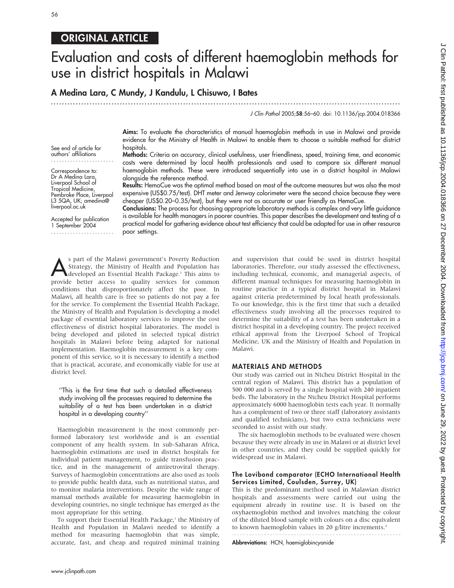# ORIGINAL ARTICLE

# Evaluation and costs of different haemoglobin methods for use in district hospitals in Malawi

A Medina Lara, C Mundy, J Kandulu, L Chisuwo, I Bates

...............................................................................................................................

J Clin Pathol 2005;58:56–60. doi: 10.1136/jcp.2004.018366

Aims: To evaluate the characteristics of manual haemoglobin methods in use in Malawi and provide evidence for the Ministry of Health in Malawi to enable them to choose a suitable method for district hospitals.

Methods: Criteria on accuracy, clinical usefulness, user friendliness, speed, training time, and economic costs were determined by local health professionals and used to compare six different manual haemoglobin methods. These were introduced sequentially into use in a district hospital in Malawi alongside the reference method.

Results: HemoCue was the optimal method based on most of the outcome measures but was also the most expensive (US\$0.75/test). DHT meter and Jenway colorimeter were the second choice because they were cheaper (US\$0.20–0.35/test), but they were not as accurate or user friendly as HemoCue.

Conclusions: The process for choosing appropriate laboratory methods is complex and very little guidance is available for health managers in poorer countries. This paper describes the development and testing of a practical model for gathering evidence about test efficiency that could be adapted for use in other resource poor settings.

S part of the Malawi government's Poverty Reduction<br>Strategy, the Ministry of Health and Population has<br>developed an Essential Health Package.<sup>1</sup> This aims to Strategy, the Ministry of Health and Population has developed an Essential Health Package.<sup>1</sup> This aims to provide better access to quality services for common conditions that disproportionately affect the poor. In Malawi, all health care is free so patients do not pay a fee for the service. To complement the Essential Health Package, the Ministry of Health and Population is developing a model package of essential laboratory services to improve the cost effectiveness of district hospital laboratories. The model is being developed and piloted in selected typical district hospitals in Malawi before being adapted for national implementation. Haemoglobin measurement is a key component of this service, so it is necessary to identify a method that is practical, accurate, and economically viable for use at district level.

#### ''This is the first time that such a detailed effectiveness study involving all the processes required to determine the suitability of a test has been undertaken in a district hospital in a developing country''

Haemoglobin measurement is the most commonly performed laboratory test worldwide and is an essential component of any health system. In sub-Saharan Africa, haemoglobin estimations are used in district hospitals for individual patient management, to guide transfusion practice, and in the management of antiretroviral therapy. Surveys of haemoglobin concentrations are also used as tools to provide public health data, such as nutritional status, and to monitor malaria interventions. Despite the wide range of manual methods available for measuring haemoglobin in developing countries, no single technique has emerged as the most appropriate for this setting.

To support their Essential Health Package,<sup>1</sup> the Ministry of Health and Population in Malawi needed to identify a method for measuring haemoglobin that was simple, accurate, fast, and cheap and required minimal training and supervision that could be used in district hospital laboratories. Therefore, our study assessed the effectiveness, including technical, economic, and managerial aspects, of different manual techniques for measuring haemoglobin in routine practice in a typical district hospital in Malawi against criteria predetermined by local heath professionals. To our knowledge, this is the first time that such a detailed effectiveness study involving all the processes required to determine the suitability of a test has been undertaken in a district hospital in a developing country. The project received ethical approval from the Liverpool School of Tropical Medicine, UK and the Ministry of Health and Population in Malawi.

#### MATERIALS AND METHODS

Our study was carried out in Ntcheu District Hospital in the central region of Malawi. This district has a population of 500 000 and is served by a single hospital with 240 inpatient beds. The laboratory in the Ntcheu District Hospital performs approximately 6000 haemoglobin tests each year. It normally has a complement of two or three staff (laboratory assistants and qualified technicians), but two extra technicians were seconded to assist with our study.

The six haemoglobin methods to be evaluated were chosen because they were already in use in Malawi or at district level in other countries, and they could be supplied quickly for widespread use in Malawi.

#### The Lovibond comparator (ECHO International Health Services Limited, Coulsden, Surrey, UK)

This is the predominant method used in Malawian district hospitals and assessments were carried out using the equipment already in routine use. It is based on the oxyhaemoglobin method and involves matching the colour of the diluted blood sample with colours on a disc equivalent to known haemoglobin values in 20 g/litre increments.<sup>2</sup> 

Abbreviations: HCN, haemiglobincyanide

See end of article for authors' affiliations .......................

Correspondence to: Dr A Medina Lara, Liverpool School of Tropical Medicine, Pembroke Place, Liverpool L3 5QA, UK; amedina@ liverpool.ac.uk

Accepted for publication 1 September 2004 .......................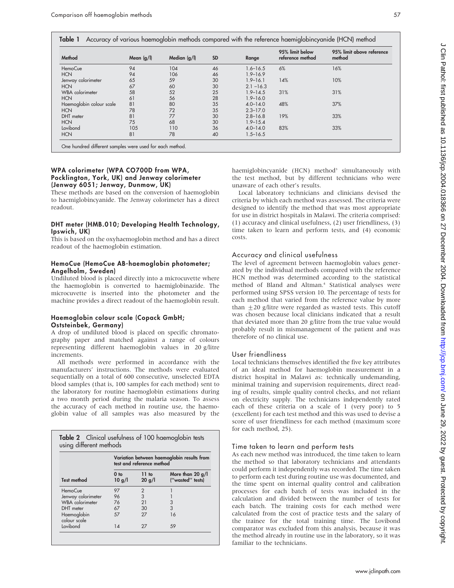| Method                   | Mean $(g/l)$ | Median (g/l) | <b>SD</b> | Range        | 95% limit below<br>reference method | 95% limit above reference<br>method |  |
|--------------------------|--------------|--------------|-----------|--------------|-------------------------------------|-------------------------------------|--|
| HemoCue                  | 94           | 104          | 46        | $1.6 - 16.5$ | 6%                                  | 16%                                 |  |
| <b>HCN</b>               | 94           | 106          | 46        | $1.9 - 16.9$ |                                     |                                     |  |
| Jenway colorimeter       | 65           | 59           | 30        | $1.9 - 16.1$ | 14%                                 | 10%                                 |  |
| <b>HCN</b>               | 67           | 60           | 30        | $2.1 - 16.3$ |                                     |                                     |  |
| <b>WBA</b> colorimeter   | 58           | 52           | 25        | $1.9 - 14.5$ | 31%                                 | 31%                                 |  |
| <b>HCN</b>               | 61           | 56           | 28        | $1.9 - 16.0$ |                                     |                                     |  |
| Haemoglobin colour scale | 81           | 80           | 35        | $4.0 - 14.0$ | 48%                                 | 37%                                 |  |
| <b>HCN</b>               | 78           | 72           | 35        | $2.3 - 17.0$ |                                     |                                     |  |
| DHT meter                | 81           | 77           | 30        | $2.8 - 16.8$ | 19%                                 | 33%                                 |  |
| <b>HCN</b>               | 75           | 68           | 30        | $1.9 - 15.4$ |                                     |                                     |  |
| Lovibond                 | 105          | 110          | 36        | $4.0 - 14.0$ | 83%                                 | 33%                                 |  |
| <b>HCN</b>               | 81           | 78           | 40        | $1.5 - 16.5$ |                                     |                                     |  |

#### WPA colorimeter (WPA CO700D from WPA, Pocklington, York, UK) and Jenway colorimeter (Jenway 6051; Jenway, Dunmow, UK)

These methods are based on the conversion of haemoglobin to haemiglobincyanide. The Jenway colorimeter has a direct readout.

#### DHT meter (HMB.010; Developing Health Technology, Ipswich, UK)

This is based on the oxyhaemoglobin method and has a direct readout of the haemoglobin estimation.

#### HemoCue (HemoCue AB-haemoglobin photometer; Angelholm, Sweden)

Undiluted blood is placed directly into a microcuvette where the haemoglobin is converted to haemiglobinazide. The microcuvette is inserted into the photometer and the machine provides a direct readout of the haemoglobin result.

# Haemoglobin colour scale (Copack GmbH; Oststeinbek, Germany)

A drop of undiluted blood is placed on specific chromatography paper and matched against a range of colours representing different haemoglobin values in 20 g/litre increments.

All methods were performed in accordance with the manufacturers' instructions. The methods were evaluated sequentially on a total of 600 consecutive, unselected EDTA blood samples (that is, 100 samples for each method) sent to the laboratory for routine haemoglobin estimations during a two month period during the malaria season. To assess the accuracy of each method in routine use, the haemoglobin value of all samples was also measured by the

|                             | Variation between haemoglobin results from<br>test and reference method |                 |                                        |  |  |  |  |
|-----------------------------|-------------------------------------------------------------------------|-----------------|----------------------------------------|--|--|--|--|
| <b>Test method</b>          | 0 <sub>to</sub><br>10 g/l                                               | 11 to<br>20 g/l | More than 20 $g/I$<br>("wasted" tests) |  |  |  |  |
| HemoCue                     | 97                                                                      | $\overline{2}$  |                                        |  |  |  |  |
| Jenway colorimeter          | 96                                                                      | 3               |                                        |  |  |  |  |
| <b>WBA</b> colorimeter      | 76                                                                      | 21              | 3                                      |  |  |  |  |
| DHT meter                   | 67                                                                      | 30              | 3                                      |  |  |  |  |
| Haemoglobin<br>colour scale | 57                                                                      | 27              | 16                                     |  |  |  |  |
| Lovibond                    | 14                                                                      | 27              | 59                                     |  |  |  |  |

haemiglobincyanide (HCN) method<sup>3</sup> simultaneously with the test method, but by different technicians who were unaware of each other's results.

Local laboratory technicians and clinicians devised the criteria by which each method was assessed. The criteria were designed to identify the method that was most appropriate for use in district hospitals in Malawi. The criteria comprised: (1) accuracy and clinical usefulness, (2) user friendliness, (3) time taken to learn and perform tests, and (4) economic costs.

# Accuracy and clinical usefulness

The level of agreement between haemoglobin values generated by the individual methods compared with the reference HCN method was determined according to the statistical method of Bland and Altman.<sup>4</sup> Statistical analyses were performed using SPSS version 10. The percentage of tests for each method that varied from the reference value by more than  $\pm 20$  g/litre were regarded as wasted tests. This cutoff was chosen because local clinicians indicated that a result that deviated more than 20 g/litre from the true value would probably result in mismanagement of the patient and was therefore of no clinical use.

# User friendliness

Local technicians themselves identified the five key attributes of an ideal method for haemoglobin measurement in a district hospital in Malawi as: technically undemanding, minimal training and supervision requirements, direct reading of results, simple quality control checks, and not reliant on electricity supply. The technicians independently rated each of these criteria on a scale of 1 (very poor) to 5 (excellent) for each test method and this was used to devise a score of user friendliness for each method (maximum score for each method, 25).

# Time taken to learn and perform tests

As each new method was introduced, the time taken to learn the method so that laboratory technicians and attendants could perform it independently was recorded. The time taken to perform each test during routine use was documented, and the time spent on internal quality control and calibration processes for each batch of tests was included in the calculation and divided between the number of tests for each batch. The training costs for each method were calculated from the cost of practice tests and the salary of the trainee for the total training time. The Lovibond comparator was excluded from this analysis, because it was the method already in routine use in the laboratory, so it was familiar to the technicians.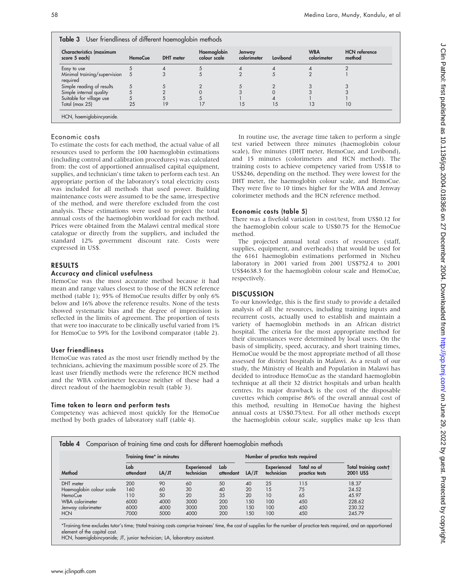|  | Table 3 User friendliness of different haemoglobin methods |  |  |  |
|--|------------------------------------------------------------|--|--|--|
|--|------------------------------------------------------------|--|--|--|

| <b>Characteristics (maximum</b><br>score 5 each) | <b>HemoCue</b> | <b>DHT</b> meter | Haemoglobin<br>colour scale | Jenway<br>colorimeter | Lovibond | <b>WBA</b><br>colorimeter | <b>HCN</b> reference<br>method |
|--------------------------------------------------|----------------|------------------|-----------------------------|-----------------------|----------|---------------------------|--------------------------------|
| Easy to use                                      |                |                  |                             |                       |          |                           |                                |
| Minimal training/supervision<br>required         | Ć              |                  |                             |                       |          |                           |                                |
| Simple reading of results                        |                |                  |                             |                       |          |                           |                                |
| Simple internal quality                          |                |                  |                             |                       |          |                           |                                |
| Suitable for village use                         |                |                  |                             |                       |          |                           |                                |
| Total (max 25)                                   | 25             | 19               |                             | 15                    | 15       | Ι3                        | 10                             |

#### Economic costs

To estimate the costs for each method, the actual value of all resources used to perform the 100 haemoglobin estimations (including control and calibration procedures) was calculated from: the cost of apportioned annualised capital equipment, supplies, and technician's time taken to perform each test. An appropriate portion of the laboratory's total electricity costs was included for all methods that used power. Building maintenance costs were assumed to be the same, irrespective of the method, and were therefore excluded from the cost analysis. These estimations were used to project the total annual costs of the haemoglobin workload for each method. Prices were obtained from the Malawi central medical store catalogue or directly from the suppliers, and included the standard 12% government discount rate. Costs were expressed in US\$.

# RESULTS

#### Accuracy and clinical usefulness

HemoCue was the most accurate method because it had mean and range values closest to those of the HCN reference method (table 1); 95% of HemoCue results differ by only 6% below and 16% above the reference results. None of the tests showed systematic bias and the degree of imprecision is reflected in the limits of agreement. The proportion of tests that were too inaccurate to be clinically useful varied from 1% for HemoCue to 59% for the Lovibond comparator (table 2).

#### User friendliness

HemoCue was rated as the most user friendly method by the technicians, achieving the maximum possible score of 25. The least user friendly methods were the reference HCN method and the WBA colorimeter because neither of these had a direct readout of the haemoglobin result (table 3).

#### Time taken to learn and perform tests

Competency was achieved most quickly for the HemoCue method by both grades of laboratory staff (table 4).

In routine use, the average time taken to perform a single test varied between three minutes (haemoglobin colour scale), five minutes (DHT meter, HemoCue, and Lovibond), and 15 minutes (colorimeters and HCN method). The training costs to achieve competency varied from US\$18 to US\$246, depending on the method. They were lowest for the DHT meter, the haemoglobin colour scale, and HemoCue. They were five to 10 times higher for the WBA and Jenway colorimeter methods and the HCN reference method.

#### Economic costs (table 5)

There was a fivefold variation in cost/test, from US\$0.12 for the haemoglobin colour scale to US\$0.75 for the HemoCue method.

The projected annual total costs of resources (staff, supplies, equipment, and overheads) that would be used for the 6161 haemoglobin estimations performed in Ntcheu laboratory in 2001 varied from 2001 US\$752.4 to 2001 US\$4638.3 for the haemoglobin colour scale and HemoCue, respectively.

### **DISCUSSION**

To our knowledge, this is the first study to provide a detailed analysis of all the resources, including training inputs and recurrent costs, actually used to establish and maintain a variety of haemoglobin methods in an African district hospital. The criteria for the most appropriate method for their circumstances were determined by local users. On the basis of simplicity, speed, accuracy, and short training times, HemoCue would be the most appropriate method of all those assessed for district hospitals in Malawi. As a result of our study, the Ministry of Health and Population in Malawi has decided to introduce HemoCue as the standard haemoglobin technique at all their 32 district hospitals and urban health centres. Its major drawback is the cost of the disposable cuvettes which comprise 86% of the overall annual cost of this method, resulting in HemoCue having the highest annual costs at US\$0.75/test. For all other methods except the haemoglobin colour scale, supplies make up less than

|                          |                  | Training time* in minutes |                           |                  |       | Number of practice tests required |                               |                                          |  |
|--------------------------|------------------|---------------------------|---------------------------|------------------|-------|-----------------------------------|-------------------------------|------------------------------------------|--|
| Method                   | Lab<br>attendant | LA/JT                     | Experienced<br>technician | Lab<br>attendant | LA/JT | Experienced<br>technician         | Total no of<br>practice tests | Total training costs†<br><b>2001 USS</b> |  |
| DHT meter                | 200              | 90                        | 60                        | 50               | 40    | 25                                | 115                           | 18.37                                    |  |
| Haemoglobin colour scale | 160              | 60                        | 30                        | 40               | 20    | 15                                | 75                            | 24.52                                    |  |
| <b>HemoCue</b>           | 110              | 50                        | 20                        | 35               | 20    | 10                                | 65                            | 45.97                                    |  |
| WBA colorimeter          | 6000             | 4000                      | 3000                      | 200              | 150   | 100                               | 450                           | 228.62                                   |  |
| Jenway colorimeter       | 6000             | 4000                      | 3000                      | 200              | 150   | 100                               | 450                           | 230.32                                   |  |
| <b>HCN</b>               | 7000             | 5000                      | 4000                      | 200              | 150   | 100                               | 450                           | 245.79                                   |  |

\*Training time excludes tutor's time; total training costs comprise trainees' time, the cost of supplies for the number of practice tests required, and an apportioned element of the capital cost.

HCN, haemiglobincyanide; JT, junior technician; LA, laboratory assistant.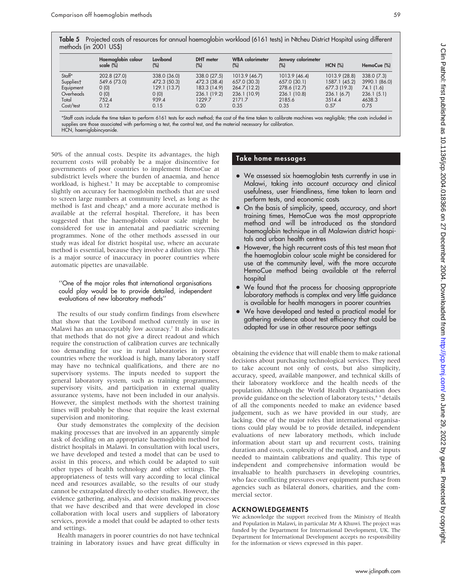Table 5 Projected costs of resources for annual haemoglobin workload (6161 tests) in Ntcheu District Hospital using different methods (in 2001 US\$)

|           | Haemoalobin colour<br>scale (%) | Lovibond<br>(%) | <b>DHT</b> meter<br>(%) | <b>WBA</b> colorimeter<br>(%) | Jenway colorimeter<br>$(\%)$ | $HCN$ $(\%)$  | HemoCue (%)   |
|-----------|---------------------------------|-----------------|-------------------------|-------------------------------|------------------------------|---------------|---------------|
| Staff*    | 202.8 (27.0)                    | 338.0 (36.0)    | 338.0 (27.5)            | 1013.9 (46.7)                 | 1013.9 (46.4)                | 1013.9 (28.8) | 338.0 (7.3)   |
| Suppliest | 549.6 (73.0)                    | 472.3 (50.3)    | 472.3 (38.4)            | 657.0 (30.3)                  | 657.0 (30.1)                 | 1587.1 (45.2) | 3990.1 (86.0) |
| Equipment | (0)                             | 129.1 (13.7)    | 183.3 (14.9)            | 264.7 (12.2)                  | 278.6 (12.7)                 | 677.3 (19.3)  | 74.1 (1.6)    |
| Overheads | (0)                             | (0)             | 236.1 (19.2)            | 236.1 (10.9)                  | 236.1 (10.8)                 | 236.1(6.7)    | 236.1(5.1)    |
| Total     | 752.4                           | 939.4           | 1229.7                  | 2171.7                        | 2185.6                       | 3514.4        | 4638.3        |
| Cost/test | 0.12                            | 0.15            | 0.20                    | 0.35                          | 0.35                         | 0.57          | 0.75          |

\*Staff costs include the time taken to perform 6161 tests for each method; the cost of the time taken to calibrate machines was negligible; the costs included in supplies are those associated with performing a test, the control test, and the material necessary for calibration. HCN, haemiglobincyanide.

50% of the annual costs. Despite its advantages, the high recurrent costs will probably be a major disincentive for governments of poor countries to implement HemoCue at subdistrict levels where the burden of anaemia, and hence workload, is highest.<sup>5</sup> It may be acceptable to compromise slightly on accuracy for haemoglobin methods that are used to screen large numbers at community level, as long as the method is fast and cheap,<sup>6</sup> and a more accurate method is available at the referral hospital. Therefore, it has been suggested that the haemoglobin colour scale might be considered for use in antenatal and paediatric screening programmes. None of the other methods assessed in our study was ideal for district hospital use, where an accurate method is essential, because they involve a dilution step. This is a major source of inaccuracy in poorer countries where automatic pipettes are unavailable.

#### ''One of the major roles that international organisations could play would be to provide detailed, independent evaluations of new laboratory methods''

The results of our study confirm findings from elsewhere that show that the Lovibond method currently in use in Malawi has an unacceptably low accuracy.<sup>7</sup> It also indicates that methods that do not give a direct readout and which require the construction of calibration curves are technically too demanding for use in rural laboratories in poorer countries where the workload is high, many laboratory staff may have no technical qualifications, and there are no supervisory systems. The inputs needed to support the general laboratory system, such as training programmes, supervisory visits, and participation in external quality assurance systems, have not been included in our analysis. However, the simplest methods with the shortest training times will probably be those that require the least external supervision and monitoring.

Our study demonstrates the complexity of the decision making processes that are involved in an apparently simple task of deciding on an appropriate haemoglobin method for district hospitals in Malawi. In consultation with local users, we have developed and tested a model that can be used to assist in this process, and which could be adapted to suit other types of health technology and other settings. The appropriateness of tests will vary according to local clinical need and resources available, so the results of our study cannot be extrapolated directly to other studies. However, the evidence gathering, analysis, and decision making processes that we have described and that were developed in close collaboration with local users and suppliers of laboratory services, provide a model that could be adapted to other tests and settings.

Health managers in poorer countries do not have technical training in laboratory issues and have great difficulty in

# Take home messages

- We assessed six haemoglobin tests currently in use in Malawi, taking into account accuracy and clinical usefulness, user friendliness, time taken to learn and perform tests, and economic costs
- On the basis of simplicity, speed, accuracy, and short training times, HemoCue was the most appropriate method and will be introduced as the standard haemoglobin technique in all Malawian district hospitals and urban health centres
- However, the high recurrent costs of this test mean that the haemoglobin colour scale might be considered for use at the community level, with the more accurate HemoCue method being available at the referral hospital
- We found that the process for choosing appropriate laboratory methods is complex and very little guidance is available for health managers in poorer countries
- We have developed and tested a practical model for gathering evidence about test efficiency that could be adapted for use in other resource poor settings

obtaining the evidence that will enable them to make rational decisions about purchasing technological services. They need to take account not only of costs, but also simplicity, accuracy, speed, available manpower, and technical skills of their laboratory workforce and the health needs of the population. Although the World Health Organisation does provide guidance on the selection of laboratory tests,<sup>8</sup> 9 details of all the components needed to make an evidence based judgement, such as we have provided in our study, are lacking. One of the major roles that international organisations could play would be to provide detailed, independent evaluations of new laboratory methods, which include information about start up and recurrent costs, training duration and costs, complexity of the method, and the inputs needed to maintain calibrations and quality. This type of independent and comprehensive information would be invaluable to health purchasers in developing countries, who face conflicting pressures over equipment purchase from agencies such as bilateral donors, charities, and the commercial sector.

#### ACKNOWLEDGEMENTS

We acknowledge the support received from the Ministry of Health and Population in Malawi, in particular Mr A Khuwi. The project was funded by the Department for International Development, UK. The Department for International Development accepts no responsibility for the information or views expressed in this paper.